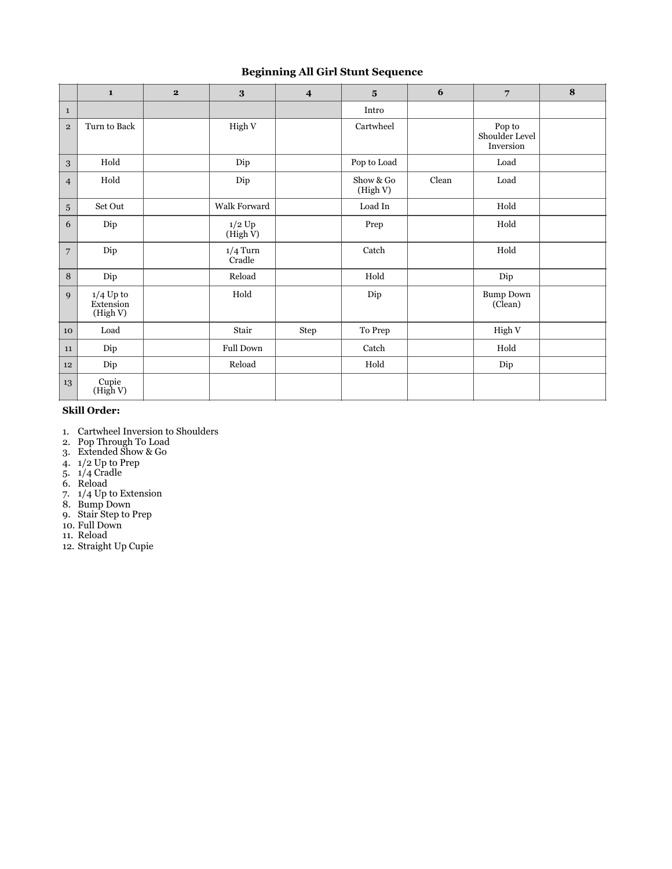## **Beginning All Girl Stunt Sequence**

|                | $\mathbf{1}$                         | $\overline{2}$ | 3                            | $\overline{\mathbf{4}}$ | $5\overline{ }$       | 6     | $\overline{7}$                        | 8 |
|----------------|--------------------------------------|----------------|------------------------------|-------------------------|-----------------------|-------|---------------------------------------|---|
| $\mathbf{1}$   |                                      |                |                              |                         | Intro                 |       |                                       |   |
| $\mathbf{2}$   | Turn to Back                         |                | High V                       |                         | Cartwheel             |       | Pop to<br>Shoulder Level<br>Inversion |   |
| 3              | Hold                                 |                | Dip                          |                         | Pop to Load           |       | Load                                  |   |
| $\overline{4}$ | Hold                                 |                | Dip                          |                         | Show & Go<br>(High V) | Clean | Load                                  |   |
| $\overline{5}$ | Set Out                              |                | Walk Forward                 |                         | Load In               |       | Hold                                  |   |
| 6              | Dip                                  |                | $1/2~\mathrm{Up}$<br>(HighV) |                         | Prep                  |       | Hold                                  |   |
| $\overline{7}$ | Dip                                  |                | $1/4$ Turn<br>Cradle         |                         | Catch                 |       | Hold                                  |   |
| 8              | Dip                                  |                | Reload                       |                         | Hold                  |       | Dip                                   |   |
| 9              | $1/4$ Up to<br>Extension<br>(High V) |                | Hold                         |                         | Dip                   |       | <b>Bump Down</b><br>(Clean)           |   |
| 10             | Load                                 |                | Stair                        | Step                    | To Prep               |       | High V                                |   |
| 11             | Dip                                  |                | Full Down                    |                         | Catch                 |       | Hold                                  |   |
| 12             | Dip                                  |                | Reload                       |                         | $_{\rm Hold}$         |       | Dip                                   |   |
| 13             | Cupie<br>(High V)                    |                |                              |                         |                       |       |                                       |   |

### **Skill Order:**

- 1. Cartwheel Inversion to Shoulders
- 2. Pop Through To Load
- 3. Extended Show & Go
- 4. 1/2 Up to Prep
- 5. 1/4 Cradle
- 6. Reload
- 7. 1/4 Up to Extension
- 8. Bump Down
- 9. Stair Step to Prep
- 10. Full Down 11. Reload
- 
- 12. Straight Up Cupie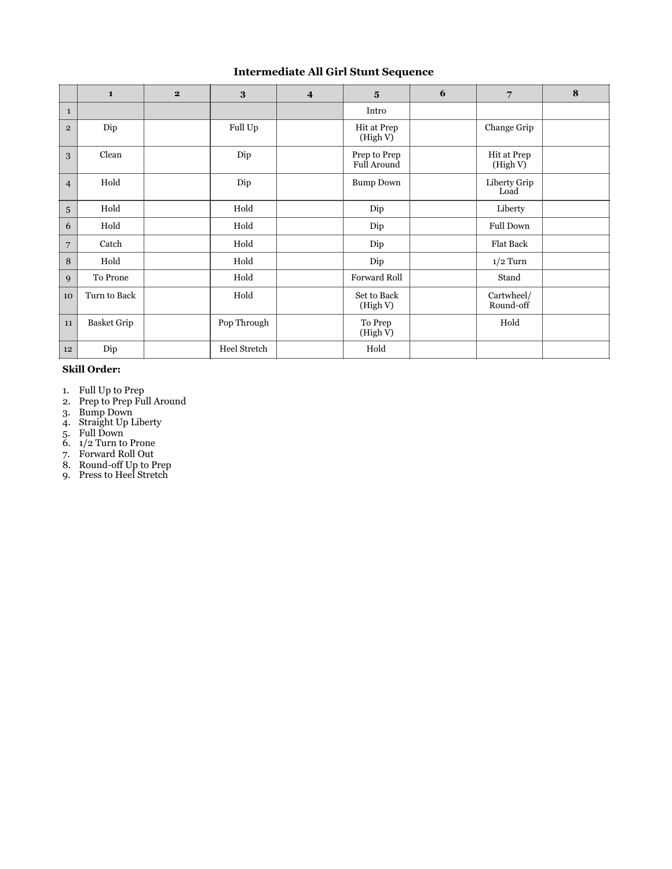## **Intermediate All Girl Stunt Sequence**

|                 | $\mathbf{1}$       | $\mathbf{2}$ | 3            | $\overline{\mathbf{4}}$ | $5\overline{a}$                    | 6 | $\overline{7}$          | 8 |
|-----------------|--------------------|--------------|--------------|-------------------------|------------------------------------|---|-------------------------|---|
| $\mathbf{1}$    |                    |              |              |                         | Intro                              |   |                         |   |
| $\overline{2}$  | Dip                |              | Full Up      |                         | Hit at Prep<br>(High V)            |   | Change Grip             |   |
| 3               | Clean              |              | Dip          |                         | Prep to Prep<br><b>Full Around</b> |   | Hit at Prep<br>(High V) |   |
| $\overline{4}$  | Hold               |              | Dip          |                         | <b>Bump Down</b>                   |   | Liberty Grip<br>Load    |   |
| $\overline{5}$  | Hold               |              | Hold         |                         | Dip                                |   | Liberty                 |   |
| 6               | Hold               |              | Hold         |                         | Dip                                |   | <b>Full Down</b>        |   |
| $7\overline{ }$ | Catch              |              | Hold         |                         | Dip                                |   | <b>Flat Back</b>        |   |
| 8               | Hold               |              | Hold         |                         | Dip                                |   | $1/2$ Turn              |   |
| 9               | To Prone           |              | Hold         |                         | Forward Roll                       |   | Stand                   |   |
| 10              | Turn to Back       |              | Hold         |                         | Set to Back<br>(High V)            |   | Cartwheel/<br>Round-off |   |
| 11              | <b>Basket Grip</b> |              | Pop Through  |                         | To Prep<br>(High V)                |   | Hold                    |   |
| 12              | Dip                |              | Heel Stretch |                         | Hold                               |   |                         |   |

#### **Skill Order:**

- 1. Full Up to Prep
- 2. Prep to Prep Full Around
- 3. Bump Down
- 4. Straight Up Liberty
- 5. Full Down
- 6. 1/2 Turn to Prone
- 7. Forward Roll Out
- 8. Round-off Up to Prep
- 9. Press to Heel Stretch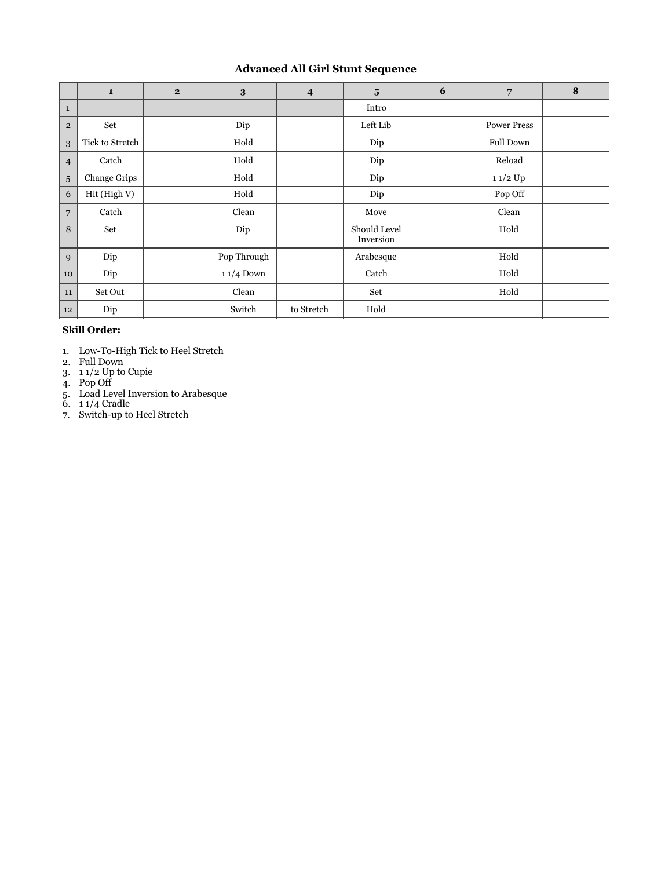# **Advanced All Girl Stunt Sequence**

|                | $\mathbf{1}$    | $\mathbf{2}$ | 3           | $\overline{\mathbf{4}}$ | $5\overline{)}$           | 6 | 7                  | 8 |
|----------------|-----------------|--------------|-------------|-------------------------|---------------------------|---|--------------------|---|
| $\mathbf{1}$   |                 |              |             |                         | Intro                     |   |                    |   |
| $\overline{2}$ | Set             |              | Dip         |                         | Left Lib                  |   | <b>Power Press</b> |   |
| 3              | Tick to Stretch |              | Hold        |                         | Dip                       |   | <b>Full Down</b>   |   |
| $\overline{4}$ | Catch           |              | Hold        |                         | Dip                       |   | Reload             |   |
| 5 <sup>5</sup> | Change Grips    |              | Hold        |                         | Dip                       |   | $11/2$ Up          |   |
| 6              | Hit (High V)    |              | Hold        |                         | Dip                       |   | Pop Off            |   |
| $\overline{7}$ | Catch           |              | Clean       |                         | Move                      |   | Clean              |   |
| 8              | Set             |              | Dip         |                         | Should Level<br>Inversion |   | Hold               |   |
| 9              | Dip             |              | Pop Through |                         | Arabesque                 |   | Hold               |   |
| 10             | Dip             |              | $11/4$ Down |                         | Catch                     |   | Hold               |   |
| 11             | Set Out         |              | Clean       |                         | Set                       |   | Hold               |   |
| 12             | Dip             |              | Switch      | to Stretch              | Hold                      |   |                    |   |

### **Skill Order:**

- 1. Low-To-High Tick to Heel Stretch
- 2. Full Down
- 3. 1 1/2 Up to Cupie
- 4. Pop Off
- 5. Load Level Inversion to Arabesque
- 6. 1 1/4 Cradle
- 7. Switch-up to Heel Stretch